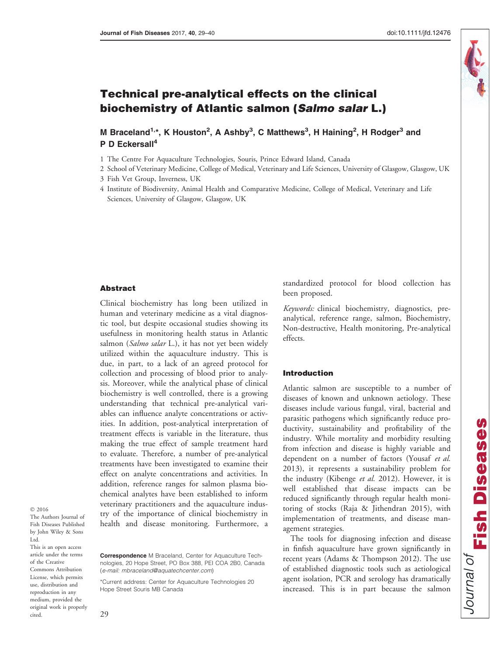

# Technical pre-analytical effects on the clinical biochemistry of Atlantic salmon (Salmo salar L.)

M Braceland<sup>1,\*</sup>, K Houston<sup>2</sup>, A Ashby<sup>3</sup>, C Matthews<sup>3</sup>, H Haining<sup>2</sup>, H Rodger<sup>3</sup> and P D Eckersall<sup>4</sup>

- 1 The Centre For Aquaculture Technologies, Souris, Prince Edward Island, Canada
- 2 School of Veterinary Medicine, College of Medical, Veterinary and Life Sciences, University of Glasgow, Glasgow, UK
- 3 Fish Vet Group, Inverness, UK
- 4 Institute of Biodiversity, Animal Health and Comparative Medicine, College of Medical, Veterinary and Life Sciences, University of Glasgow, Glasgow, UK

#### Abstract

Clinical biochemistry has long been utilized in human and veterinary medicine as a vital diagnostic tool, but despite occasional studies showing its usefulness in monitoring health status in Atlantic salmon (Salmo salar L.), it has not yet been widely utilized within the aquaculture industry. This is due, in part, to a lack of an agreed protocol for collection and processing of blood prior to analysis. Moreover, while the analytical phase of clinical biochemistry is well controlled, there is a growing understanding that technical pre-analytical variables can influence analyte concentrations or activities. In addition, post-analytical interpretation of treatment effects is variable in the literature, thus making the true effect of sample treatment hard to evaluate. Therefore, a number of pre-analytical treatments have been investigated to examine their effect on analyte concentrations and activities. In addition, reference ranges for salmon plasma biochemical analytes have been established to inform veterinary practitioners and the aquaculture industry of the importance of clinical biochemistry in health and disease monitoring. Furthermore, a

© 2016 The Authors Journal of Fish Diseases Published by John Wiley & Sons Ltd. This is an open access article under the terms of the [Creative](http://creativecommons.org/licenses/by/4.0/) [Commons Attribution](http://creativecommons.org/licenses/by/4.0/) License, which permits use, distribution and reproduction in any medium, provided the original work is properly cited.

standardized protocol for blood collection has been proposed.

Keywords: clinical biochemistry, diagnostics, preanalytical, reference range, salmon, Biochemistry, Non-destructive, Health monitoring, Pre-analytical effects.

## Introduction

Atlantic salmon are susceptible to a number of diseases of known and unknown aetiology. These diseases include various fungal, viral, bacterial and parasitic pathogens which significantly reduce productivity, sustainability and profitability of the industry. While mortality and morbidity resulting from infection and disease is highly variable and dependent on a number of factors (Yousaf et al. 2013), it represents a sustainability problem for the industry (Kibenge et al. 2012). However, it is well established that disease impacts can be reduced significantly through regular health monitoring of stocks (Raja & Jithendran 2015), with implementation of treatments, and disease management strategies.

The tools for diagnosing infection and disease in finfish aquaculture have grown significantly in recent years (Adams & Thompson 2012). The use of established diagnostic tools such as aetiological agent isolation, PCR and serology has dramatically increased. This is in part because the salmon

Correspondence M Braceland, Center for Aquaculture Technologies, 20 Hope Street, PO Box 388, PEI COA 2B0, Canada (e-mail: mbraceland@aquatechcenter.com)

<sup>\*</sup>Current address: Center for Aquaculture Technologies 20 Hope Street Souris MB Canada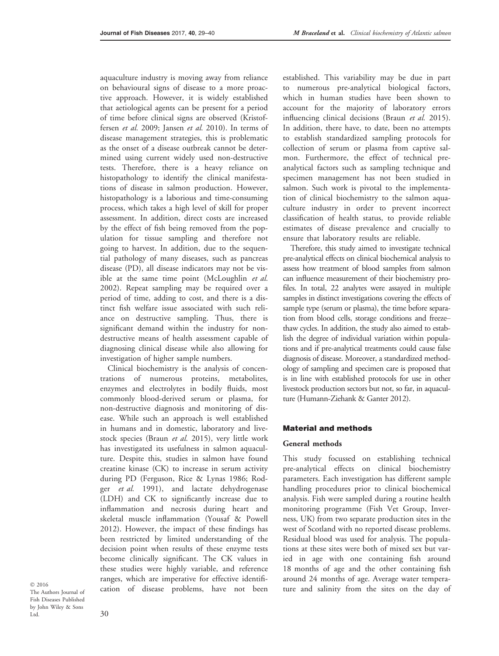aquaculture industry is moving away from reliance on behavioural signs of disease to a more proactive approach. However, it is widely established that aetiological agents can be present for a period of time before clinical signs are observed (Kristoffersen et al. 2009; Jansen et al. 2010). In terms of disease management strategies, this is problematic as the onset of a disease outbreak cannot be determined using current widely used non-destructive tests. Therefore, there is a heavy reliance on histopathology to identify the clinical manifestations of disease in salmon production. However, histopathology is a laborious and time-consuming process, which takes a high level of skill for proper assessment. In addition, direct costs are increased by the effect of fish being removed from the population for tissue sampling and therefore not going to harvest. In addition, due to the sequential pathology of many diseases, such as pancreas disease (PD), all disease indicators may not be visible at the same time point (McLoughlin et al. 2002). Repeat sampling may be required over a period of time, adding to cost, and there is a distinct fish welfare issue associated with such reliance on destructive sampling. Thus, there is significant demand within the industry for nondestructive means of health assessment capable of diagnosing clinical disease while also allowing for investigation of higher sample numbers.

Clinical biochemistry is the analysis of concentrations of numerous proteins, metabolites, enzymes and electrolytes in bodily fluids, most commonly blood-derived serum or plasma, for non-destructive diagnosis and monitoring of disease. While such an approach is well established in humans and in domestic, laboratory and livestock species (Braun et al. 2015), very little work has investigated its usefulness in salmon aquaculture. Despite this, studies in salmon have found creatine kinase (CK) to increase in serum activity during PD (Ferguson, Rice & Lynas 1986; Rodger et al. 1991), and lactate dehydrogenase (LDH) and CK to significantly increase due to inflammation and necrosis during heart and skeletal muscle inflammation (Yousaf & Powell 2012). However, the impact of these findings has been restricted by limited understanding of the decision point when results of these enzyme tests become clinically significant. The CK values in these studies were highly variable, and reference ranges, which are imperative for effective identification of disease problems, have not been

© 2016 The Authors Journal of Fish Diseases Published by John Wiley & Sons Ltd.

established. This variability may be due in part to numerous pre-analytical biological factors, which in human studies have been shown to account for the majority of laboratory errors influencing clinical decisions (Braun et al. 2015). In addition, there have, to date, been no attempts to establish standardized sampling protocols for collection of serum or plasma from captive salmon. Furthermore, the effect of technical preanalytical factors such as sampling technique and specimen management has not been studied in salmon. Such work is pivotal to the implementation of clinical biochemistry to the salmon aquaculture industry in order to prevent incorrect classification of health status, to provide reliable estimates of disease prevalence and crucially to ensure that laboratory results are reliable.

Therefore, this study aimed to investigate technical pre-analytical effects on clinical biochemical analysis to assess how treatment of blood samples from salmon can influence measurement of their biochemistry profiles. In total, 22 analytes were assayed in multiple samples in distinct investigations covering the effects of sample type (serum or plasma), the time before separation from blood cells, storage conditions and freeze– thaw cycles. In addition, the study also aimed to establish the degree of individual variation within populations and if pre-analytical treatments could cause false diagnosis of disease. Moreover, a standardized methodology of sampling and specimen care is proposed that is in line with established protocols for use in other livestock production sectors but not, so far, in aquaculture (Humann-Ziehank & Ganter 2012).

## Material and methods

#### General methods

This study focussed on establishing technical pre-analytical effects on clinical biochemistry parameters. Each investigation has different sample handling procedures prior to clinical biochemical analysis. Fish were sampled during a routine health monitoring programme (Fish Vet Group, Inverness, UK) from two separate production sites in the west of Scotland with no reported disease problems. Residual blood was used for analysis. The populations at these sites were both of mixed sex but varied in age with one containing fish around 18 months of age and the other containing fish around 24 months of age. Average water temperature and salinity from the sites on the day of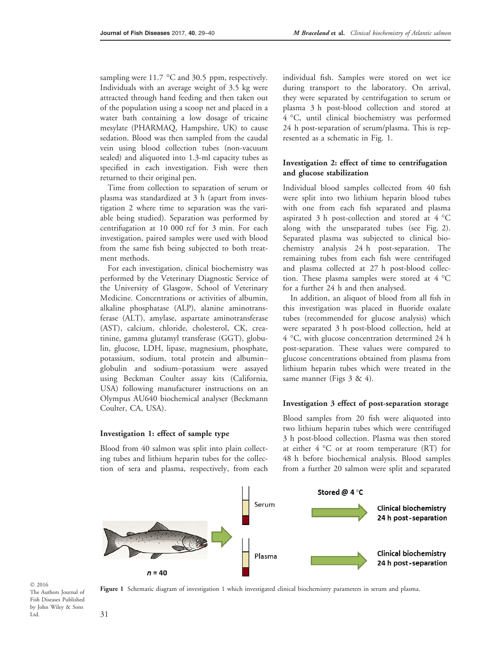sampling were 11.7 °C and 30.5 ppm, respectively. Individuals with an average weight of 3.5 kg were attracted through hand feeding and then taken out of the population using a scoop net and placed in a water bath containing a low dosage of tricaine mesylate (PHARMAQ, Hampshire, UK) to cause sedation. Blood was then sampled from the caudal vein using blood collection tubes (non-vacuum sealed) and aliquoted into 1.3-ml capacity tubes as specified in each investigation. Fish were then returned to their original pen.

Time from collection to separation of serum or plasma was standardized at 3 h (apart from investigation 2 where time to separation was the variable being studied). Separation was performed by centrifugation at 10 000 rcf for 3 min. For each investigation, paired samples were used with blood from the same fish being subjected to both treatment methods.

For each investigation, clinical biochemistry was performed by the Veterinary Diagnostic Service of the University of Glasgow, School of Veterinary Medicine. Concentrations or activities of albumin, alkaline phosphatase (ALP), alanine aminotransferase (ALT), amylase, aspartate aminotransferase (AST), calcium, chloride, cholesterol, CK, creatinine, gamma glutamyl transferase (GGT), globulin, glucose, LDH, lipase, magnesium, phosphate, potassium, sodium, total protein and albumin– globulin and sodium–potassium were assayed using Beckman Coulter assay kits (California, USA) following manufacturer instructions on an Olympus AU640 biochemical analyser (Beckmann Coulter, CA, USA).

## Investigation 1: effect of sample type

Blood from 40 salmon was split into plain collecting tubes and lithium heparin tubes for the collection of sera and plasma, respectively, from each individual fish. Samples were stored on wet ice during transport to the laboratory. On arrival, they were separated by centrifugation to serum or plasma 3 h post-blood collection and stored at 4 °C, until clinical biochemistry was performed 24 h post-separation of serum/plasma. This is represented as a schematic in Fig. 1.

## Investigation 2: effect of time to centrifugation and glucose stabilization

Individual blood samples collected from 40 fish were split into two lithium heparin blood tubes with one from each fish separated and plasma aspirated 3 h post-collection and stored at 4 °C along with the unseparated tubes (see Fig. 2). Separated plasma was subjected to clinical biochemistry analysis 24 h post-separation. The remaining tubes from each fish were centrifuged and plasma collected at 27 h post-blood collection. These plasma samples were stored at 4 °C for a further 24 h and then analysed.

In addition, an aliquot of blood from all fish in this investigation was placed in fluoride oxalate tubes (recommended for glucose analysis) which were separated 3 h post-blood collection, held at 4 °C, with glucose concentration determined 24 h post-separation. These values were compared to glucose concentrations obtained from plasma from lithium heparin tubes which were treated in the same manner (Figs 3 & 4).

#### Investigation 3 effect of post-separation storage

Blood samples from 20 fish were aliquoted into two lithium heparin tubes which were centrifuged 3 h post-blood collection. Plasma was then stored at either 4 °C or at room temperature (RT) for 48 h before biochemical analysis. Blood samples from a further 20 salmon were split and separated



31 © 2016 The Authors Journal of Fish Diseases Published by John Wiley & Sons Ltd.

Figure 1 Schematic diagram of investigation 1 which investigated clinical biochemistry parameters in serum and plasma.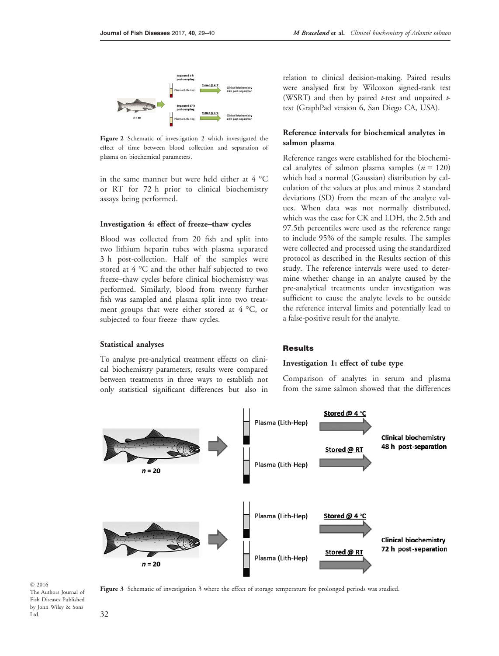

Figure 2 Schematic of investigation 2 which investigated the effect of time between blood collection and separation of plasma on biochemical parameters.

in the same manner but were held either at 4 °C or RT for 72 h prior to clinical biochemistry assays being performed.

#### Investigation 4: effect of freeze–thaw cycles

Blood was collected from 20 fish and split into two lithium heparin tubes with plasma separated 3 h post-collection. Half of the samples were stored at 4 °C and the other half subjected to two freeze–thaw cycles before clinical biochemistry was performed. Similarly, blood from twenty further fish was sampled and plasma split into two treatment groups that were either stored at 4 °C, or subjected to four freeze–thaw cycles.

#### Statistical analyses

To analyse pre-analytical treatment effects on clinical biochemistry parameters, results were compared between treatments in three ways to establish not only statistical significant differences but also in relation to clinical decision-making. Paired results were analysed first by Wilcoxon signed-rank test (WSRT) and then by paired  $t$ -test and unpaired  $t$ test (GraphPad version 6, San Diego CA, USA).

## Reference intervals for biochemical analytes in salmon plasma

Reference ranges were established for the biochemical analytes of salmon plasma samples  $(n = 120)$ which had a normal (Gaussian) distribution by calculation of the values at plus and minus 2 standard deviations (SD) from the mean of the analyte values. When data was not normally distributed, which was the case for CK and LDH, the 2.5th and 97.5th percentiles were used as the reference range to include 95% of the sample results. The samples were collected and processed using the standardized protocol as described in the Results section of this study. The reference intervals were used to determine whether change in an analyte caused by the pre-analytical treatments under investigation was sufficient to cause the analyte levels to be outside the reference interval limits and potentially lead to a false-positive result for the analyte.

### Results

## Investigation 1: effect of tube type

Comparison of analytes in serum and plasma from the same salmon showed that the differences





Figure 3 Schematic of investigation 3 where the effect of storage temperature for prolonged periods was studied.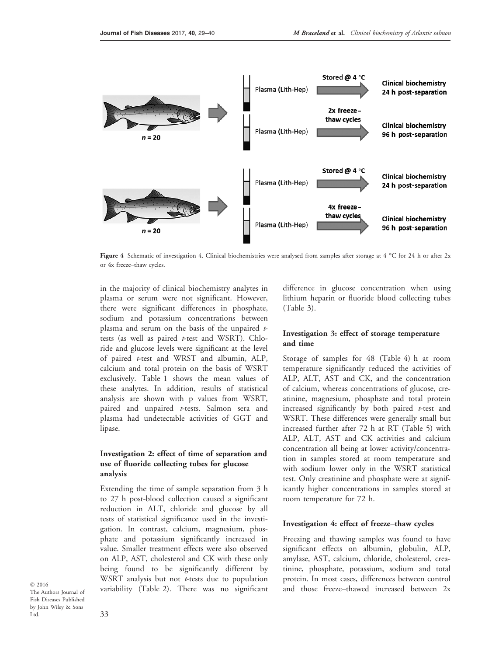

Figure 4 Schematic of investigation 4. Clinical biochemistries were analysed from samples after storage at 4 °C for 24 h or after 2x or 4x freeze–thaw cycles.

in the majority of clinical biochemistry analytes in plasma or serum were not significant. However, there were significant differences in phosphate, sodium and potassium concentrations between plasma and serum on the basis of the unpaired  $t$ tests (as well as paired  $t$ -test and WSRT). Chloride and glucose levels were significant at the level of paired t-test and WRST and albumin, ALP, calcium and total protein on the basis of WSRT exclusively. Table 1 shows the mean values of these analytes. In addition, results of statistical analysis are shown with p values from WSRT, paired and unpaired *t*-tests. Salmon sera and plasma had undetectable activities of GGT and lipase.

# Investigation 2: effect of time of separation and use of fluoride collecting tubes for glucose analysis

Extending the time of sample separation from 3 h to 27 h post-blood collection caused a significant reduction in ALT, chloride and glucose by all tests of statistical significance used in the investigation. In contrast, calcium, magnesium, phosphate and potassium significantly increased in value. Smaller treatment effects were also observed on ALP, AST, cholesterol and CK with these only being found to be significantly different by WSRT analysis but not  $t$ -tests due to population variability (Table 2). There was no significant

© 2016 The Authors Journal of Fish Diseases Published by John Wiley & Sons Ltd.

difference in glucose concentration when using lithium heparin or fluoride blood collecting tubes (Table 3).

## Investigation 3: effect of storage temperature and time

Storage of samples for 48 (Table 4) h at room temperature significantly reduced the activities of ALP, ALT, AST and CK, and the concentration of calcium, whereas concentrations of glucose, creatinine, magnesium, phosphate and total protein increased significantly by both paired  $t$ -test and WSRT. These differences were generally small but increased further after 72 h at RT (Table 5) with ALP, ALT, AST and CK activities and calcium concentration all being at lower activity/concentration in samples stored at room temperature and with sodium lower only in the WSRT statistical test. Only creatinine and phosphate were at significantly higher concentrations in samples stored at room temperature for 72 h.

#### Investigation 4: effect of freeze–thaw cycles

Freezing and thawing samples was found to have significant effects on albumin, globulin, ALP, amylase, AST, calcium, chloride, cholesterol, creatinine, phosphate, potassium, sodium and total protein. In most cases, differences between control and those freeze–thawed increased between 2x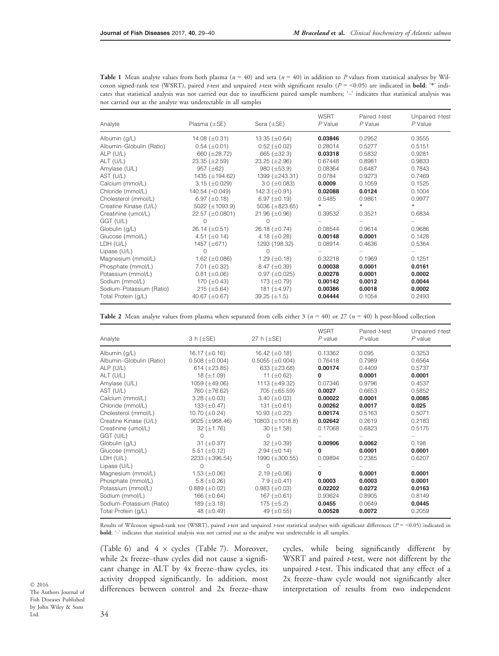| <b>Table 1</b> Mean analyte values from both plasma ( $n = 40$ ) and sera ( $n = 40$ ) in addition to P values from statistical analyses by Wil-                  |
|-------------------------------------------------------------------------------------------------------------------------------------------------------------------|
| coxon signed-rank test (WSRT), paired <i>t</i> -test and unpaired <i>t</i> -test with significant results ( $P = 0.05$ ) are indicated in <b>bold</b> ; '*' indi- |
| cates that statistical analysis was not carried out due to insufficient paired sample numbers; - indicates that statistical analysis was                          |
| not carried out as the analyte was undetectable in all samples                                                                                                    |

| Analyte                  | Plasma $(\pm SE)$      | Sera $(\pm$ SE)      | <b>WSRT</b><br>P Value | Paired t-test<br>P Value | Unpaired t-test<br>P Value |
|--------------------------|------------------------|----------------------|------------------------|--------------------------|----------------------------|
| Albumin (g/L)            | 14.08 $(\pm 0.31)$     | 13.35 $(\pm 0.64)$   | 0.03846                | 0.2952                   | 0.3555                     |
| Albumin-Globulin (Ratio) | $0.54~(\pm 0.01)$      | $0.52~(\pm 0.02)$    | 0.28014                | 0.5277                   | 0.5151                     |
| ALP (U/L)                | 660 $(\pm 28.72)$      | 665 $(\pm 32.3)$     | 0.03318                | 0.5832                   | 0.9281                     |
| ALT (U/L)                | $23.35 \ (\pm 2.59)$   | $23.25 \ (\pm 2.96)$ | 0.67448                | 0.8981                   | 0.9833                     |
| Amylase (U/L)            | 957 $(\pm 62)$         | 980 $(\pm 53.9)$     | 0.08364                | 0.6487                   | 0.7843                     |
| AST (U/L)                | 1435 (±194.62)         | 1399 (±243.31)       | 0.0784                 | 0.9273                   | 0.7469                     |
| Calcium (mmol/L)         | $3.15 \ (\pm 0.029)$   | $3.0 \ (\pm 0.083)$  | 0.0009                 | 0.1059                   | 0.1525                     |
| Chloride (mmol/L)        | 140.54 (+0.049)        | 142.3 $(\pm 0.91)$   | 0.02088                | 0.0124                   | 0.1004                     |
| Cholesterol (mmol/L)     | 6.97 $(\pm 0.18)$      | 6.97 $(\pm 0.19)$    | 0.5485                 | 0.9861                   | 0.9977                     |
| Creatine Kinase (U/L)    | 5022 $(\pm 1093.9)$    | 5036 $(\pm 823.65)$  | *                      | *                        | $*$                        |
| Creatinine (umol/L)      | $22.57 \ (\pm 0.0801)$ | $21.96 (\pm 0.96)$   | 0.39532                | 0.3521                   | 0.6834                     |
| GGT (U/L)                | $\Omega$               | $\cap$               |                        |                          |                            |
| Globulin (g/L)           | $26.14 \ (\pm 0.51)$   | 26.18 $(\pm 0.74)$   | 0.08544                | 0.9614                   | 0.9686                     |
| Glucose (mmol/L)         | 4.51 $(\pm 0.14)$      | 4.18 $(\pm 0.28)$    | 0.00148                | 0.0001                   | 0.1428                     |
| LDH (U/L)                | 1457 $(\pm 671)$       | 1293 (198.32)        | 0.08914                | 0.4636                   | 0.5364                     |
| Lipase $(U/L)$           | $\Omega$               | $\Omega$             |                        |                          |                            |
| Magnesium (mmol/L)       | 1.62 $(\pm 0.086)$     | 1.29 $(\pm 0.18)$    | 0.32218                | 0.1969                   | 0.1251                     |
| Phosphate (mmol/L)       | 7.01 $(\pm 0.32)$      | $8.47 \ (\pm 0.39)$  | 0.00038                | 0.0001                   | 0.0161                     |
| Potassium (mmol/L)       | $0.81 (\pm 0.06)$      | $0.97 \ (\pm 0.025)$ | 0.00278                | 0.0001                   | 0.0002                     |
| Sodium (mmol/L)          | 170 $(\pm 0.43)$       | 173 $(\pm 0.79)$     | 0.00142                | 0.0012                   | 0.0044                     |
| Sodium-Potassium (Ratio) | $215 (\pm 5.64)$       | 181 $(\pm 4.97)$     | 0.00386                | 0.0018                   | 0.0002                     |
| Total Protein (g/L)      | 40.67 $(\pm 0.67)$     | $39.25 \ (\pm 1.5)$  | 0.04444                | 0.1054                   | 0.2493                     |

**Table 2** Mean analyte values from plasma when separated from cells either 3 ( $n = 40$ ) or 27 ( $n = 40$ ) h post-blood collection

| Analyte                  | $3 h (\pm SE)$       | 27 h $(\pm$ SE)        | <b>WSRT</b><br>$P$ value | Paired t-test<br>$P$ value | Unpaired t-test<br>$P$ value |
|--------------------------|----------------------|------------------------|--------------------------|----------------------------|------------------------------|
| Albumin (g/L)            | 16.17 $(\pm 0.16)$   | 16.42 $(\pm 0.18)$     | 0.13362                  | 0.095                      | 0.3253                       |
| Albumin-Globulin (Ratio) | $0.508 (\pm 0.004)$  | $0.5055 \ (\pm 0.004)$ | 0.76418                  | 0.7989                     | 0.6564                       |
| $ALP$ (U/L)              | 614 $(\pm 23.85)$    | 633 $(\pm 23.68)$      | 0.00174                  | 0.4409                     | 0.5737                       |
| ALT (U/L)                | 18 $(\pm 1.09)$      | 11 $(\pm 0.62)$        | 0                        | 0.0001                     | 0.0001                       |
| Amylase (U/L)            | 1059 (±49.06)        | 1113 $(\pm 49.32)$     | 0.07346                  | 0.9796                     | 0.4537                       |
| AST (U/L)                | 760 (±76.62)         | 705 (±65.59)           | 0.0027                   | 0.6653                     | 0.5852                       |
| Calcium (mmol/L)         | $3.28 \ (\pm 0.03)$  | $3.40 \ (\pm 0.03)$    | 0.00022                  | 0.0001                     | 0.0085                       |
| Chloride (mmol/L)        | 133 $(\pm 0.47)$     | 131 $(\pm 0.61)$       | 0.00262                  | 0.0017                     | 0.025                        |
| Cholesterol (mmol/L)     | 10.70 $(\pm 0.24)$   | 10.93 $(\pm 0.22)$     | 0.00174                  | 0.5163                     | 0.5071                       |
| Creatine Kinase (U/L)    | $9025 (\pm 968.46)$  | 10803 ( $\pm$ 1018.8)  | 0.02642                  | 0.2619                     | 0.2183                       |
| Creatinine (umol/L)      | $32 (\pm 1.76)$      | $30 (\pm 1.58)$        | 0.17068                  | 0.6823                     | 0.5175                       |
| GGT (U/L)                | $\Omega$             | ∩                      |                          |                            |                              |
| Globulin (g/L)           | 31 $(\pm 0.37)$      | $32 (\pm 0.39)$        | 0.00906                  | 0.0062                     | 0.198                        |
| Glucose (mmol/L)         | 5.51 $(\pm 0.12)$    | $2.94 \ (\pm 0.14)$    | 0                        | 0.0001                     | 0.0001                       |
| LDH (U/L)                | 2233 (±396.54)       | 1990 (±300.55)         | 0.09894                  | 0.2385                     | 0.6207                       |
| Lipase (U/L)             | <sup>n</sup>         | $\cap$                 |                          |                            |                              |
| Magnesium (mmol/L)       | 1.53 $(\pm 0.06)$    | 2.19 $(\pm 0.06)$      | 0                        | 0.0001                     | 0.0001                       |
| Phosphate (mmol/L)       | 5.8 $(\pm 0.26)$     | $7.9 \ (\pm 0.41)$     | 0.0003                   | 0.0003                     | 0.0001                       |
| Potassium (mmol/L)       | $0.889 \ (\pm 0.02)$ | $0.983 \ (\pm 0.03)$   | 0.02202                  | 0.0272                     | 0.0163                       |
| Sodium (mmol/L)          | 166 $(\pm 0.64)$     | 167 $(\pm 0.61)$       | 0.93624                  | 0.8905                     | 0.8149                       |
| Sodium-Potassium (Ratio) | 189 $(\pm 3.18)$     | 175 $(\pm 5.2)$        | 0.0455                   | 0.0649                     | 0.0445                       |
| Total Protein (g/L)      | 48 (±0.49)           | 49 $(\pm 0.55)$        | 0.00528                  | 0.0072                     | 0.2059                       |

Results of Wilcoxon signed-rank test (WSRT), paired  $\mu$ test and unpaired  $\mu$ test statistical analyses with significant differences (P = <0.05) indicated in bold; '–' indicates that statistical analysis was not carried out as the analyte was undetectable in all samples.

(Table 6) and  $4 \times$  cycles (Table 7). Moreover, while 2x freeze–thaw cycles did not cause a significant change in ALT by 4x freeze–thaw cycles, its activity dropped significantly. In addition, most differences between control and 2x freeze–thaw cycles, while being significantly different by WSRT and paired  $t$ -test, were not different by the unpaired  $t$ -test. This indicated that any effect of a 2x freeze–thaw cycle would not significantly alter interpretation of results from two independent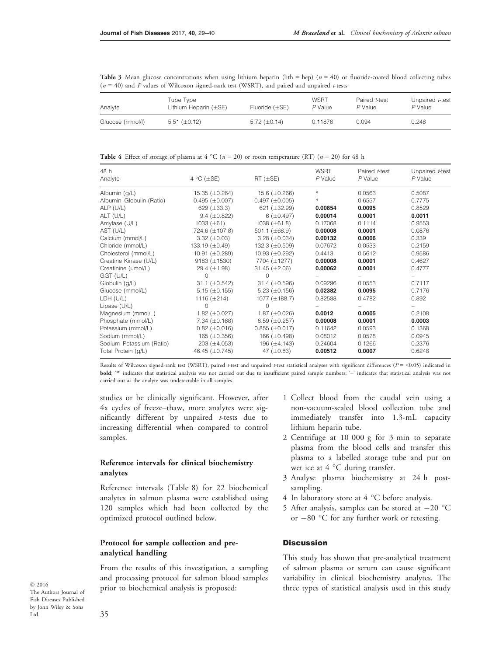**Table 3** Mean glucose concentrations when using lithium heparin (lith = hep) ( $n = 40$ ) or fluoride-coated blood collecting tubes  $(n = 40)$  and P values of Wilcoxon signed-rank test (WSRT), and paired and unpaired  $t$ -tests

| Analyte          | Tube Type<br>Lithium Heparin $(\pm SE)$ | Fluoride $(\pm SE)$ | WSRT<br>P Value | Paired t-test<br>P Value | Unpaired t-test<br>P Value |
|------------------|-----------------------------------------|---------------------|-----------------|--------------------------|----------------------------|
| Glucose (mmol/l) | $5.51 (\pm 0.12)$                       | 5.72 $(\pm 0.14)$   | 0.11876         | 0.094                    | 0.248                      |

**Table 4** Effect of storage of plasma at 4 °C ( $n = 20$ ) or room temperature (RT) ( $n = 20$ ) for 48 h

| 48 h                     |                      |                      | <b>WSRT</b> | Paired t-test | Unpaired t-test |
|--------------------------|----------------------|----------------------|-------------|---------------|-----------------|
| Analyte                  | 4 °C ( $\pm$ SE)     | $RT$ ( $\pm$ SE)     | $P$ Value   | $P$ Value     | $P$ Value       |
| Albumin (g/L)            | 15.35 $(\pm 0.264)$  | 15.6 $(\pm 0.266)$   | *           | 0.0563        | 0.5087          |
| Albumin-Globulin (Ratio) | $0.495 (\pm 0.007)$  | $0.497 (\pm 0.005)$  | *           | 0.6557        | 0.7775          |
| $ALP$ (U/L)              | 629 $(\pm 33.3)$     | 621 (±32.99)         | 0.00854     | 0.0095        | 0.8529          |
| ALT (U/L)                | $9.4 \ (\pm 0.822)$  | $6$ ( $\pm$ 0.497)   | 0.00014     | 0.0001        | 0.0011          |
| Amylase (U/L)            | 1033 $(\pm 61)$      | 1038 $(\pm 61.8)$    | 0.17068     | 0.1114        | 0.9553          |
| AST (U/L)                | 724.6 $(\pm 107.8)$  | 501.1 $(\pm 68.9)$   | 0.00008     | 0.0001        | 0.0876          |
| Calcium (mmol/L)         | $3.32 \ (\pm 0.03)$  | $3.28 \ (\pm 0.034)$ | 0.00132     | 0.0006        | 0.339           |
| Chloride (mmol/L)        | 133.19 $(\pm 0.49)$  | 132.3 $(\pm 0.509)$  | 0.07672     | 0.0533        | 0.2159          |
| Cholesterol (mmol/L)     | 10.91 $(\pm 0.289)$  | 10.93 $(\pm 0.292)$  | 0.4413      | 0.5612        | 0.9586          |
| Creatine Kinase (U/L)    | 9183 $(\pm 1530)$    | 7704 (±1277)         | 0.00008     | 0.0001        | 0.4627          |
| Creatinine (umol/L)      | 29.4 $(\pm 1.98)$    | $31.45 \ (\pm 2.06)$ | 0.00062     | 0.0001        | 0.4777          |
| GGT (U/L)                | $\Omega$             | O                    |             |               |                 |
| Globulin (g/L)           | 31.1 $(\pm 0.542)$   | 31.4 $(\pm 0.596)$   | 0.09296     | 0.0553        | 0.7117          |
| Glucose (mmol/L)         | $5.15 \ (\pm 0.155)$ | 5.23 $(\pm 0.156)$   | 0.02382     | 0.0095        | 0.7176          |
| LDH (U/L)                | 1116 $(\pm 214)$     | 1077 $(\pm 188.7)$   | 0.82588     | 0.4782        | 0.892           |
| Lipase $(U/L)$           | $\Omega$             | 0                    |             |               |                 |
| Magnesium (mmol/L)       | 1.82 $(\pm 0.027)$   | 1.87 $(\pm 0.026)$   | 0.0012      | 0.0005        | 0.2108          |
| Phosphate (mmol/L)       | 7.34 $(\pm 0.168)$   | $8.59 \ (\pm 0.257)$ | 0.00008     | 0.0001        | 0.0003          |
| Potassium (mmol/L)       | $0.82 \ (\pm 0.016)$ | $0.855 (\pm 0.017)$  | 0.11642     | 0.0593        | 0.1368          |
| Sodium (mmol/L)          | 165 $(\pm 0.356)$    | 166 (±0.498)         | 0.08012     | 0.0578        | 0.0945          |
| Sodium-Potassium (Ratio) | $203 (\pm 4.053)$    | 196 $(\pm 4.143)$    | 0.24604     | 0.1266        | 0.2376          |
| Total Protein (g/L)      | 46.45 $(\pm 0.745)$  | 47 $(\pm 0.83)$      | 0.00512     | 0.0007        | 0.6248          |

Results of Wilcoxon signed-rank test (WSRT), paired  $\nu$ -test and unpaired  $\nu$ -test statistical analyses with significant differences ( $P = <0.05$ ) indicated in bold; '\*' indicates that statistical analysis was not carried out due to insufficient paired sample numbers; '–' indicates that statistical analysis was not carried out as the analyte was undetectable in all samples.

studies or be clinically significant. However, after 4x cycles of freeze–thaw, more analytes were significantly different by unpaired  $t$ -tests due to increasing differential when compared to control samples.

# Reference intervals for clinical biochemistry analytes

Reference intervals (Table 8) for 22 biochemical analytes in salmon plasma were established using 120 samples which had been collected by the optimized protocol outlined below.

# Protocol for sample collection and preanalytical handling

From the results of this investigation, a sampling and processing protocol for salmon blood samples prior to biochemical analysis is proposed:

- 1 Collect blood from the caudal vein using a non-vacuum-sealed blood collection tube and immediately transfer into 1.3-mL capacity lithium heparin tube.
- 2 Centrifuge at 10 000 g for 3 min to separate plasma from the blood cells and transfer this plasma to a labelled storage tube and put on wet ice at 4 °C during transfer.
- 3 Analyse plasma biochemistry at 24 h postsampling.
- 4 In laboratory store at 4 °C before analysis.
- 5 After analysis, samples can be stored at  $-20$  °C or  $-80$  °C for any further work or retesting.

# **Discussion**

This study has shown that pre-analytical treatment of salmon plasma or serum can cause significant variability in clinical biochemistry analytes. The three types of statistical analysis used in this study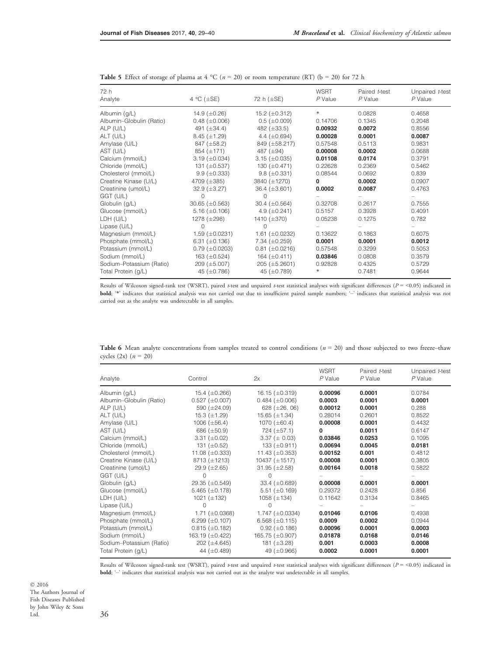| 72 h<br>Analyte          | 4 °C ( $\pm$ SE)      | 72 h (±SE)            | <b>WSRT</b><br>$P$ Value | Paired t-test<br>$P$ Value | Unpaired t-test<br>$P$ Value |
|--------------------------|-----------------------|-----------------------|--------------------------|----------------------------|------------------------------|
| Albumin (g/L)            | 14.9 $(\pm 0.26)$     | 15.2 $(\pm 0.312)$    | *                        | 0.0828                     | 0.4658                       |
| Albumin-Globulin (Ratio) | $0.48 \ (\pm 0.006)$  | $0.5$ ( $\pm 0.009$ ) | 0.14706                  | 0.1345                     | 0.2048                       |
| $ALP$ (U/L)              | 491 $(\pm 34.4)$      | 482 $(\pm 33.5)$      | 0.00932                  | 0.0072                     | 0.8556                       |
| ALT (U/L)                | $8.45 \ (\pm 1.29)$   | 4.4 $(\pm 0.694)$     | 0.00028                  | 0.0001                     | 0.0087                       |
| Amylase (U/L)            | 847 $(\pm 58.2)$      | 849 (±58.217)         | 0.57548                  | 0.5113                     | 0.9831                       |
| AST (U/L)                | 854 $(\pm 171)$       | 487 $(\pm 94)$        | 0.00008                  | 0.0002                     | 0.0688                       |
| Calcium (mmol/L)         | $3.19 \ (\pm 0.034)$  | $3.15 \ (\pm 0.035)$  | 0.01108                  | 0.0174                     | 0.3791                       |
| Chloride (mmol/L)        | 131 $(\pm 0.537)$     | 130 $(\pm 0.471)$     | 0.22628                  | 0.2369                     | 0.5462                       |
| Cholesterol (mmol/L)     | $9.9 \ (\pm 0.333)$   | $9.8 \ (\pm 0.331)$   | 0.08544                  | 0.0692                     | 0.839                        |
| Creatine Kinase (U/L)    | 4709 (±385)           | 3840 (±1270)          | 0                        | 0.0002                     | 0.0907                       |
| Creatinine (umol/L)      | $32.9 \ (\pm 3.27)$   | $36.4 \ (\pm 3.601)$  | 0.0002                   | 0.0087                     | 0.4763                       |
| GGT (U/L)                | $\Omega$              | $\Omega$              |                          |                            |                              |
| Globulin (g/L)           | $30.65 (\pm 0.563)$   | 30.4 $(\pm 0.564)$    | 0.32708                  | 0.2617                     | 0.7555                       |
| Glucose (mmol/L)         | 5.16 $(\pm 0.106)$    | 4.9 $(\pm 0.241)$     | 0.5157                   | 0.3928                     | 0.4091                       |
| LDH (U/L)                | 1278 $(\pm 298)$      | 1410 $(\pm 370)$      | 0.05238                  | 0.1275                     | 0.782                        |
| Lipase $(U/L)$           | $\Omega$              | $\cap$                |                          |                            |                              |
| Magnesium (mmol/L)       | 1.59 $(\pm 0.0231)$   | 1.61 $(\pm 0.0232)$   | 0.13622                  | 0.1863                     | 0.6075                       |
| Phosphate (mmol/L)       | 6.31 $(\pm 0.136)$    | 7.34 $(\pm 0.259)$    | 0.0001                   | 0.0001                     | 0.0012                       |
| Potassium (mmol/L)       | $0.79 \ (\pm 0.0203)$ | $0.81 (\pm 0.0216)$   | 0.57548                  | 0.3299                     | 0.5053                       |
| Sodium (mmol/L)          | 163 $(\pm 0.524)$     | 164 $(\pm 0.411)$     | 0.03846                  | 0.0808                     | 0.3579                       |
| Sodium-Potassium (Ratio) | $209 \ (\pm 5.007)$   | $205 (\pm 5.2601)$    | 0.92828                  | 0.4325                     | 0.5729                       |
| Total Protein (g/L)      | 45 $(\pm 0.786)$      | 45 (±0.789)           | *                        | 0.7481                     | 0.9644                       |

**Table 5** Effect of storage of plasma at 4 °C ( $n = 20$ ) or room temperature (RT) ( $b = 20$ ) for 72 h

Results of Wilcoxon signed-rank test (WSRT), paired  $\nu$ -test and unpaired  $\nu$ -test statistical analyses with significant differences (P = <0.05) indicated in bold; '\*' indicates that statistical analysis was not carried out due to insufficient paired sample numbers; '–' indicates that statistical analysis was not carried out as the analyte was undetectable in all samples.

|                          |  | <b>Table 6</b> Mean analyte concentrations from samples treated to control conditions ( $n = 20$ ) and those subjected to two freeze-thaw |  |  |  |  |  |  |  |
|--------------------------|--|-------------------------------------------------------------------------------------------------------------------------------------------|--|--|--|--|--|--|--|
| cycles $(2x)$ $(n = 20)$ |  |                                                                                                                                           |  |  |  |  |  |  |  |

| Analyte                  | Control               | 2x                    | <b>WSRT</b><br>P Value | Paired t-test<br>$P$ Value | Unpaired t-test<br>$P$ Value |
|--------------------------|-----------------------|-----------------------|------------------------|----------------------------|------------------------------|
| Albumin (g/L)            | 15.4 $(\pm 0.266)$    | 16.15 $(\pm 0.319)$   | 0.00096                | 0.0001                     | 0.0784                       |
| Albumin-Globulin (Ratio) | $0.527 (\pm 0.007)$   | $0.484 \ (\pm 0.006)$ | 0.0003                 | 0.0001                     | 0.0001                       |
| $ALP$ (U/L)              | 590 $(\pm 24.09)$     | 628 $(\pm 26.06)$     | 0.00012                | 0.0001                     | 0.288                        |
| ALT (U/L)                | 15.3 $(\pm 1.29)$     | 15.65 $(\pm 1.34)$    | 0.28014                | 0.2601                     | 0.8522                       |
| Amylase (U/L)            | 1006 $(\pm 56.4)$     | 1070 $(\pm 60.4)$     | 0.00008                | 0.0001                     | 0.4432                       |
| AST (U/L)                | 686 $(\pm 50.9)$      | $724 \ (\pm 57.1)$    | 0                      | 0.0011                     | 0.6147                       |
| Calcium (mmol/L)         | $3.31 \ (\pm 0.02)$   | $3.37 (\pm 0.03)$     | 0.03846                | 0.0253                     | 0.1095                       |
| Chloride (mmol/L)        | 131 $(\pm 0.52)$      | 133 $(\pm 0.911)$     | 0.00694                | 0.0045                     | 0.0181                       |
| Cholesterol (mmol/L)     | 11.08 $(\pm 0.333)$   | 11.43 $(\pm 0.353)$   | 0.00152                | 0.001                      | 0.4812                       |
| Creatine Kinase (U/L)    | $8713 (\pm 1213)$     | 10437 $(\pm 1517)$    | 0.00008                | 0.0001                     | 0.3805                       |
| Creatinine (umol/L)      | 29.9 $(\pm 2.65)$     | $31.95 \ (\pm 2.58)$  | 0.00164                | 0.0018                     | 0.5822                       |
| GGT (U/L)                | $\Omega$              | $\Omega$              |                        |                            |                              |
| Globulin (g/L)           | 29.35 $(\pm 0.549)$   | 33.4 $(\pm 0.689)$    | 0.00008                | 0.0001                     | 0.0001                       |
| Glucose (mmol/L)         | 5.465 $(\pm 0.178)$   | 5.51 $(\pm 0.169)$    | 0.29372                | 0.2428                     | 0.856                        |
| LDH (U/L)                | 1021 $(\pm 132)$      | 1058 $(\pm 134)$      | 0.11642                | 0.3134                     | 0.8465                       |
| Lipase (U/L)             | $\Omega$              | $\Omega$              |                        |                            |                              |
| Magnesium (mmol/L)       | 1.71 $(\pm 0.0368)$   | 1.747 $(\pm 0.0334)$  | 0.01046                | 0.0106                     | 0.4938                       |
| Phosphate (mmol/L)       | 6.299 $(\pm 0.107)$   | 6.568 $(\pm 0.115)$   | 0.0009                 | 0.0002                     | 0.0944                       |
| Potassium (mmol/L)       | $0.815 \ (\pm 0.182)$ | $0.92~(\pm 0.186)$    | 0.00096                | 0.0001                     | 0.0003                       |
| Sodium (mmol/L)          | 163.19 $(\pm 0.422)$  | 165.75 (±0.907)       | 0.01878                | 0.0168                     | 0.0146                       |
| Sodium-Potassium (Ratio) | $202 (\pm 4.645)$     | 181 $(\pm 3.28)$      | 0.001                  | 0.0003                     | 0.0008                       |
| Total Protein (g/L)      | 44 (±0.489)           | 49 $(\pm 0.966)$      | 0.0002                 | 0.0001                     | 0.0001                       |

Results of Wilcoxon signed-rank test (WSRT), paired  $\nu$ -test and unpaired  $\nu$ -test statistical analyses with significant differences ( $P =$ <0.05) indicated in bold; '-' indicates that statistical analysis was not carried out as the analyte was undetectable in all samples.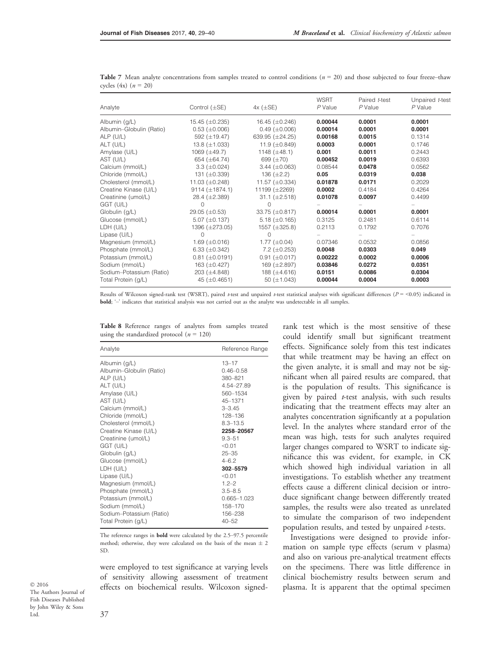| Analyte                  | Control $(\pm SE)$   | $4x (\pm SE)$        | <b>WSRT</b><br>P Value | Paired t-test<br>P Value | Unpaired t-test<br>P Value |
|--------------------------|----------------------|----------------------|------------------------|--------------------------|----------------------------|
|                          |                      |                      |                        |                          |                            |
| Albumin (g/L)            | 15.45 $(\pm 0.235)$  | 16.45 $(\pm 0.246)$  | 0.00044                | 0.0001                   | 0.0001                     |
| Albumin-Globulin (Ratio) | $0.53 \ (\pm 0.006)$ | $0.49 \ (\pm 0.006)$ | 0.00014                | 0.0001                   | 0.0001                     |
| $ALP$ (U/L)              | 592 $(\pm 19.47)$    | 639.95 $(\pm 24.25)$ | 0.00168                | 0.0015                   | 0.1314                     |
| ALT (U/L)                | $13.8 \ (\pm 1.033)$ | 11.9 $(\pm 0.849)$   | 0.0003                 | 0.0001                   | 0.1746                     |
| Amylase (U/L)            | 1069 $(\pm 49.7)$    | 1148 $(\pm 48.1)$    | 0.001                  | 0.0011                   | 0.2443                     |
| AST (U/L)                | 654 (±64.74)         | 699 $(\pm 70)$       | 0.00452                | 0.0019                   | 0.6393                     |
| Calcium (mmol/L)         | $3.3 \ (\pm 0.024)$  | $3.44 \ (\pm 0.063)$ | 0.08544                | 0.0478                   | 0.0562                     |
| Chloride (mmol/L)        | 131 $(\pm 0.339)$    | 136 $(\pm 2.2)$      | 0.05                   | 0.0319                   | 0.038                      |
| Cholesterol (mmol/L)     | 11.03 $(\pm 0.248)$  | 11.57 $(\pm 0.334)$  | 0.01878                | 0.0171                   | 0.2029                     |
| Creatine Kinase (U/L)    | 9114 $(\pm 1874.1)$  | 11199 (±2269)        | 0.0002                 | 0.4184                   | 0.4264                     |
| Creatinine (umol/L)      | 28.4 (±2.389)        | $31.1 (\pm 2.518)$   | 0.01078                | 0.0097                   | 0.4499                     |
| GGT (U/L)                | <sup>n</sup>         | 0                    |                        |                          |                            |
| Globulin (q/L)           | $29.05 (\pm 0.53)$   | 33.75 $(\pm 0.817)$  | 0.00014                | 0.0001                   | 0.0001                     |
| Glucose (mmol/L)         | $5.07 \ (\pm 0.137)$ | 5.18 $(\pm 0.165)$   | 0.3125                 | 0.2481                   | 0.6114                     |
| LDH (U/L)                | 1396 (±273.05)       | 1557 $(\pm 325.8)$   | 0.2113                 | 0.1792                   | 0.7076                     |
| Lipase (U/L)             | $\Omega$             | 0                    |                        |                          |                            |
| Magnesium (mmol/L)       | 1.69 $(\pm 0.016)$   | 1.77 $(\pm 0.04)$    | 0.07346                | 0.0532                   | 0.0856                     |
| Phosphate (mmol/L)       | 6.33 $(\pm 0.342)$   | $7.2 \ (\pm 0.253)$  | 0.0048                 | 0.0303                   | 0.049                      |
| Potassium (mmol/L)       | $0.81 (\pm 0.0191)$  | $0.91 (\pm 0.017)$   | 0.00222                | 0.0002                   | 0.0006                     |
| Sodium (mmol/L)          | 163 $(\pm 0.427)$    | 169 $(\pm 2.897)$    | 0.03846                | 0.0272                   | 0.0351                     |
| Sodium-Potassium (Ratio) | $203 (\pm 4.848)$    | 188 $(\pm 4.616)$    | 0.0151                 | 0.0086                   | 0.0304                     |
| Total Protein (g/L)      | 45 $(\pm 0.4651)$    | 50 $(\pm 1.043)$     | 0.00044                | 0.0004                   | 0.0003                     |

**Table** 7 Mean analyte concentrations from samples treated to control conditions ( $n = 20$ ) and those subjected to four freeze–thaw cycles (4x)  $(n = 20)$ 

Results of Wilcoxon signed-rank test (WSRT), paired  $t$ -test and unpaired  $t$ -test statistical analyses with significant differences ( $P = <0.05$ ) indicated in bold; '–' indicates that statistical analysis was not carried out as the analyte was undetectable in all samples.

Table 8 Reference ranges of analytes from samples treated using the standardized protocol ( $n = 120$ )

| Analyte                  | Reference Range |
|--------------------------|-----------------|
| Albumin (g/L)            | $13 - 17$       |
| Albumin-Globulin (Ratio) | $0.46 - 0.58$   |
| ALP $(U/L)$              | 380-821         |
| ALT (U/L)                | 4.54-27.89      |
| Amylase (U/L)            | 560-1534        |
| AST (U/L)                | 45-1371         |
| Calcium (mmol/L)         | $3 - 3.45$      |
| Chloride (mmol/L)        | 128-136         |
| Cholesterol (mmol/L)     | $8.3 - 13.5$    |
| Creatine Kinase (U/L)    | 2258-20567      |
| Creatinine (umol/L)      | $9.3 - 51$      |
| GGT (U/L)                | < 0.01          |
| Globulin (g/L)           | $25 - 35$       |
| Glucose (mmol/L)         | $4 - 6.2$       |
| LDH (U/L)                | 302-5579        |
| Lipase (U/L)             | < 0.01          |
| Magnesium (mmol/L)       | $1.2 - 2$       |
| Phosphate (mmol/L)       | $3.5 - 8.5$     |
| Potassium (mmol/L)       | 0.665-1.023     |
| Sodium (mmol/L)          | 158-170         |
| Sodium-Potassium (Ratio) | 156-238         |
| Total Protein (g/L)      | $40 - 52$       |

The reference ranges in bold were calculated by the 2.5–97.5 percentile method; otherwise, they were calculated on the basis of the mean  $\pm$  2 SD.

were employed to test significance at varying levels of sensitivity allowing assessment of treatment effects on biochemical results. Wilcoxon signedrank test which is the most sensitive of these could identify small but significant treatment effects. Significance solely from this test indicates that while treatment may be having an effect on the given analyte, it is small and may not be significant when all paired results are compared, that is the population of results. This significance is given by paired  $t$ -test analysis, with such results indicating that the treatment effects may alter an analytes concentration significantly at a population level. In the analytes where standard error of the mean was high, tests for such analytes required larger changes compared to WSRT to indicate significance this was evident, for example, in CK which showed high individual variation in all investigations. To establish whether any treatment effects cause a different clinical decision or introduce significant change between differently treated samples, the results were also treated as unrelated to simulate the comparison of two independent population results, and tested by unpaired *-tests.* 

Investigations were designed to provide information on sample type effects (serum v plasma) and also on various pre-analytical treatment effects on the specimens. There was little difference in clinical biochemistry results between serum and plasma. It is apparent that the optimal specimen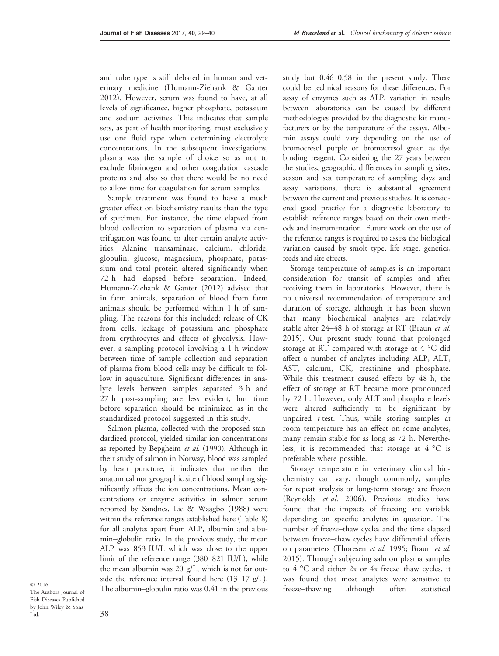and tube type is still debated in human and veterinary medicine (Humann-Ziehank & Ganter 2012). However, serum was found to have, at all levels of significance, higher phosphate, potassium and sodium activities. This indicates that sample sets, as part of health monitoring, must exclusively use one fluid type when determining electrolyte concentrations. In the subsequent investigations, plasma was the sample of choice so as not to exclude fibrinogen and other coagulation cascade proteins and also so that there would be no need to allow time for coagulation for serum samples.

Sample treatment was found to have a much greater effect on biochemistry results than the type of specimen. For instance, the time elapsed from blood collection to separation of plasma via centrifugation was found to alter certain analyte activities. Alanine transaminase, calcium, chloride, globulin, glucose, magnesium, phosphate, potassium and total protein altered significantly when 72 h had elapsed before separation. Indeed, Humann-Ziehank & Ganter (2012) advised that in farm animals, separation of blood from farm animals should be performed within 1 h of sampling. The reasons for this included: release of CK from cells, leakage of potassium and phosphate from erythrocytes and effects of glycolysis. However, a sampling protocol involving a 1-h window between time of sample collection and separation of plasma from blood cells may be difficult to follow in aquaculture. Significant differences in analyte levels between samples separated 3 h and 27 h post-sampling are less evident, but time before separation should be minimized as in the standardized protocol suggested in this study.

Salmon plasma, collected with the proposed standardized protocol, yielded similar ion concentrations as reported by Bepgheim et al. (1990). Although in their study of salmon in Norway, blood was sampled by heart puncture, it indicates that neither the anatomical nor geographic site of blood sampling significantly affects the ion concentrations. Mean concentrations or enzyme activities in salmon serum reported by Sandnes, Lie & Waagbo (1988) were within the reference ranges established here (Table 8) for all analytes apart from ALP, albumin and albumin–globulin ratio. In the previous study, the mean ALP was 853 IU/L which was close to the upper limit of the reference range (380–821 IU/L), while the mean albumin was 20 g/L, which is not far outside the reference interval found here  $(13-17 \text{ g/L})$ . The albumin–globulin ratio was 0.41 in the previous

© 2016 The Authors Journal of Fish Diseases Published by John Wiley & Sons Ltd.

study but 0.46–0.58 in the present study. There could be technical reasons for these differences. For assay of enzymes such as ALP, variation in results between laboratories can be caused by different methodologies provided by the diagnostic kit manufacturers or by the temperature of the assays. Albumin assays could vary depending on the use of bromocresol purple or bromocresol green as dye binding reagent. Considering the 27 years between the studies, geographic differences in sampling sites, season and sea temperature of sampling days and assay variations, there is substantial agreement between the current and previous studies. It is considered good practice for a diagnostic laboratory to establish reference ranges based on their own methods and instrumentation. Future work on the use of the reference ranges is required to assess the biological variation caused by smolt type, life stage, genetics, feeds and site effects.

Storage temperature of samples is an important consideration for transit of samples and after receiving them in laboratories. However, there is no universal recommendation of temperature and duration of storage, although it has been shown that many biochemical analytes are relatively stable after 24–48 h of storage at RT (Braun et al. 2015). Our present study found that prolonged storage at RT compared with storage at 4 °C did affect a number of analytes including ALP, ALT, AST, calcium, CK, creatinine and phosphate. While this treatment caused effects by 48 h, the effect of storage at RT became more pronounced by 72 h. However, only ALT and phosphate levels were altered sufficiently to be significant by unpaired  $t$ -test. Thus, while storing samples at room temperature has an effect on some analytes, many remain stable for as long as 72 h. Nevertheless, it is recommended that storage at 4 °C is preferable where possible.

Storage temperature in veterinary clinical biochemistry can vary, though commonly, samples for repeat analysis or long-term storage are frozen (Reynolds et al. 2006). Previous studies have found that the impacts of freezing are variable depending on specific analytes in question. The number of freeze–thaw cycles and the time elapsed between freeze–thaw cycles have differential effects on parameters (Thoresen et al. 1995; Braun et al. 2015). Through subjecting salmon plasma samples to 4 °C and either 2x or 4x freeze–thaw cycles, it was found that most analytes were sensitive to freeze–thawing although often statistical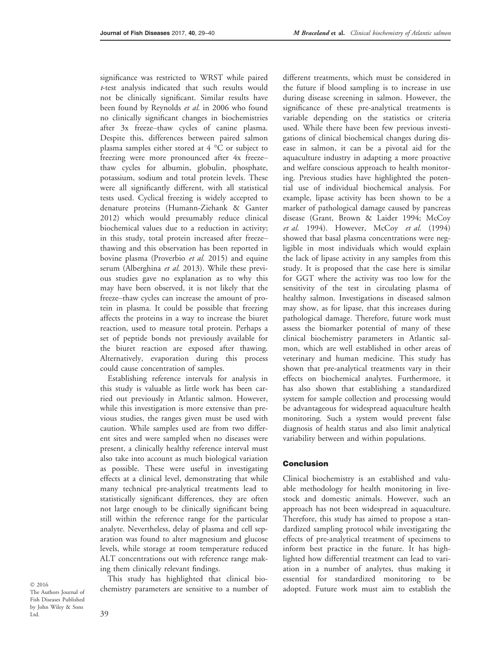different treatments, which must be considered in

significance was restricted to WRST while paired t-test analysis indicated that such results would not be clinically significant. Similar results have been found by Reynolds et al. in 2006 who found no clinically significant changes in biochemistries after 3x freeze–thaw cycles of canine plasma. Despite this, differences between paired salmon plasma samples either stored at 4 °C or subject to freezing were more pronounced after 4x freeze– thaw cycles for albumin, globulin, phosphate, potassium, sodium and total protein levels. These were all significantly different, with all statistical tests used. Cyclical freezing is widely accepted to denature proteins (Humann-Ziehank & Ganter 2012) which would presumably reduce clinical biochemical values due to a reduction in activity; in this study, total protein increased after freeze– thawing and this observation has been reported in bovine plasma (Proverbio et al. 2015) and equine serum (Alberghina et al. 2013). While these previous studies gave no explanation as to why this may have been observed, it is not likely that the freeze–thaw cycles can increase the amount of protein in plasma. It could be possible that freezing affects the proteins in a way to increase the biuret reaction, used to measure total protein. Perhaps a set of peptide bonds not previously available for the biuret reaction are exposed after thawing. Alternatively, evaporation during this process could cause concentration of samples.

Establishing reference intervals for analysis in this study is valuable as little work has been carried out previously in Atlantic salmon. However, while this investigation is more extensive than previous studies, the ranges given must be used with caution. While samples used are from two different sites and were sampled when no diseases were present, a clinically healthy reference interval must also take into account as much biological variation as possible. These were useful in investigating effects at a clinical level, demonstrating that while many technical pre-analytical treatments lead to statistically significant differences, they are often not large enough to be clinically significant being still within the reference range for the particular analyte. Nevertheless, delay of plasma and cell separation was found to alter magnesium and glucose levels, while storage at room temperature reduced ALT concentrations out with reference range making them clinically relevant findings.

This study has highlighted that clinical biochemistry parameters are sensitive to a number of

© 2016 The Authors Journal of Fish Diseases Published by John Wiley & Sons Ltd.

39

the future if blood sampling is to increase in use during disease screening in salmon. However, the significance of these pre-analytical treatments is variable depending on the statistics or criteria used. While there have been few previous investigations of clinical biochemical changes during disease in salmon, it can be a pivotal aid for the aquaculture industry in adapting a more proactive and welfare conscious approach to health monitoring. Previous studies have highlighted the potential use of individual biochemical analysis. For example, lipase activity has been shown to be a marker of pathological damage caused by pancreas disease (Grant, Brown & Laider 1994; McCoy et al. 1994). However, McCoy et al. (1994) showed that basal plasma concentrations were negligible in most individuals which would explain the lack of lipase activity in any samples from this study. It is proposed that the case here is similar for GGT where the activity was too low for the sensitivity of the test in circulating plasma of healthy salmon. Investigations in diseased salmon may show, as for lipase, that this increases during pathological damage. Therefore, future work must assess the biomarker potential of many of these clinical biochemistry parameters in Atlantic salmon, which are well established in other areas of veterinary and human medicine. This study has shown that pre-analytical treatments vary in their effects on biochemical analytes. Furthermore, it has also shown that establishing a standardized system for sample collection and processing would be advantageous for widespread aquaculture health monitoring. Such a system would prevent false diagnosis of health status and also limit analytical variability between and within populations.

### Conclusion

Clinical biochemistry is an established and valuable methodology for health monitoring in livestock and domestic animals. However, such an approach has not been widespread in aquaculture. Therefore, this study has aimed to propose a standardized sampling protocol while investigating the effects of pre-analytical treatment of specimens to inform best practice in the future. It has highlighted how differential treatment can lead to variation in a number of analytes, thus making it essential for standardized monitoring to be adopted. Future work must aim to establish the